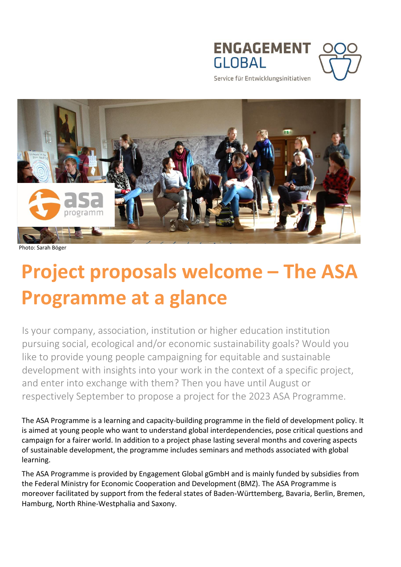



Service für Entwicklungsinitiativen



Photo: Sarah Böger

# **Project proposals welcome – The ASA Programme at a glance**

Is your company, association, institution or higher education institution pursuing social, ecological and/or economic sustainability goals? Would you like to provide young people campaigning for equitable and sustainable development with insights into your work in the context of a specific project, and enter into exchange with them? Then you have until August or respectively September to propose a project for the 2023 ASA Programme.

The ASA Programme is a learning and capacity-building programme in the field of development policy. It is aimed at young people who want to understand global interdependencies, pose critical questions and campaign for a fairer world. In addition to a project phase lasting several months and covering aspects of sustainable development, the programme includes seminars and methods associated with global learning.

The ASA Programme is provided by Engagement Global gGmbH and is mainly funded by subsidies from the Federal Ministry for Economic Cooperation and Development (BMZ). The ASA Programme is moreover facilitated by support from the federal states of Baden-Württemberg, Bavaria, Berlin, Bremen, Hamburg, North Rhine-Westphalia and Saxony.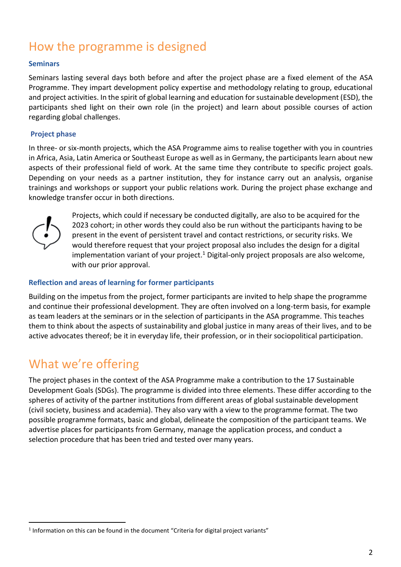# How the programme is designed

#### **Seminars**

Seminars lasting several days both before and after the project phase are a fixed element of the ASA Programme. They impart development policy expertise and methodology relating to group, educational and project activities. In the spirit of global learning and education for sustainable development (ESD), the participants shed light on their own role (in the project) and learn about possible courses of action regarding global challenges.

#### **Project phase**

In three- or six-month projects, which the ASA Programme aims to realise together with you in countries in Africa, Asia, Latin America or Southeast Europe as well as in Germany, the participants learn about new aspects of their professional field of work. At the same time they contribute to specific project goals. Depending on your needs as a partner institution, they for instance carry out an analysis, organise trainings and workshops or support your public relations work. During the project phase exchange and knowledge transfer occur in both directions.



 $\overline{a}$ 

Projects, which could if necessary be conducted digitally, are also to be acquired for the 2023 cohort; in other words they could also be run without the participants having to be present in the event of persistent travel and contact restrictions, or security risks. We would therefore request that your project proposal also includes the design for a digital implementation variant of your project.<sup>1</sup> Digital-only project proposals are also welcome, with our prior approval.

#### **Reflection and areas of learning for former participants**

Building on the impetus from the project, former participants are invited to help shape the programme and continue their professional development. They are often involved on a long-term basis, for example as team leaders at the seminars or in the selection of participants in the ASA programme. This teaches them to think about the aspects of sustainability and global justice in many areas of their lives, and to be active advocates thereof; be it in everyday life, their profession, or in their sociopolitical participation.

# What we're offering

The project phases in the context of the ASA Programme make a contribution to the 17 Sustainable Development Goals (SDGs). The programme is divided into three elements. These differ according to the spheres of activity of the partner institutions from different areas of global sustainable development (civil society, business and academia). They also vary with a view to the programme format. The two possible programme formats, basic and global, delineate the composition of the participant teams. We advertise places for participants from Germany, manage the application process, and conduct a selection procedure that has been tried and tested over many years.

 $<sup>1</sup>$  Information on this can be found in the document "Criteria for digital project variants"</sup>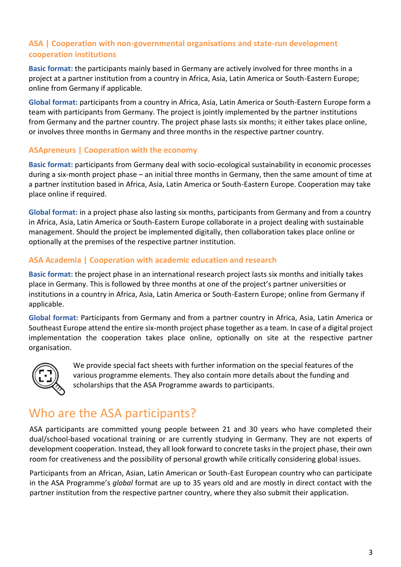#### **ASA | Cooperation with non-governmental organisations and state-run development cooperation institutions**

**Basic format:** the participants mainly based in Germany are actively involved for three months in a project at a partner institution from a country in Africa, Asia, Latin America or South-Eastern Europe; online from Germany if applicable.

**Global format:** participants from a country in Africa, Asia, Latin America or South-Eastern Europe form a team with participants from Germany. The project is jointly implemented by the partner institutions from Germany and the partner country. The project phase lasts six months; it either takes place online, or involves three months in Germany and three months in the respective partner country.

#### **ASApreneurs | Cooperation with the economy**

**Basic format:** participants from Germany deal with socio-ecological sustainability in economic processes during a six-month project phase – an initial three months in Germany, then the same amount of time at a partner institution based in Africa, Asia, Latin America or South-Eastern Europe. Cooperation may take place online if required.

**Global format:** in a project phase also lasting six months, participants from Germany and from a country in Africa, Asia, Latin America or South-Eastern Europe collaborate in a project dealing with sustainable management. Should the project be implemented digitally, then collaboration takes place online or optionally at the premises of the respective partner institution.

#### **ASA Academia | Cooperation with academic education and research**

**Basic format:** the project phase in an international research project lasts six months and initially takes place in Germany. This is followed by three months at one of the project's partner universities or institutions in a country in Africa, Asia, Latin America or South-Eastern Europe; online from Germany if applicable.

**Global format:** Participants from Germany and from a partner country in Africa, Asia, Latin America or Southeast Europe attend the entire six-month project phase together as a team. In case of a digital project implementation the cooperation takes place online, optionally on site at the respective partner organisation.



We provide special fact sheets with further information on the special features of the various programme elements. They also contain more details about the funding and scholarships that the ASA Programme awards to participants.

# Who are the ASA participants?

ASA participants are committed young people between 21 and 30 years who have completed their dual/school-based vocational training or are currently studying in Germany. They are not experts of development cooperation. Instead, they all look forward to concrete tasks in the project phase, their own room for creativeness and the possibility of personal growth while critically considering global issues.

Participants from an African, Asian, Latin American or South-East European country who can participate in the ASA Programme's *global* format are up to 35 years old and are mostly in direct contact with the partner institution from the respective partner country, where they also submit their application.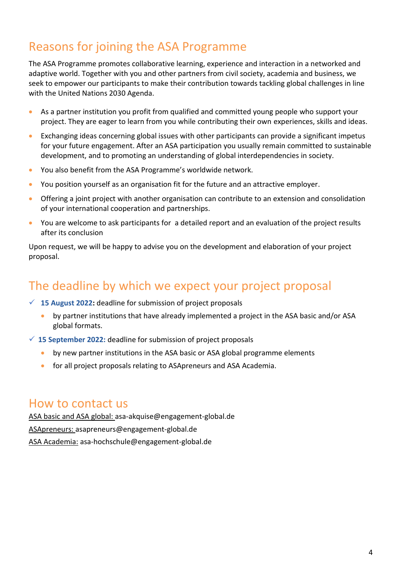# Reasons for joining the ASA Programme

The ASA Programme promotes collaborative learning, experience and interaction in a networked and adaptive world. Together with you and other partners from civil society, academia and business, we seek to empower our participants to make their contribution towards tackling global challenges in line with the United Nations 2030 Agenda.

- As a partner institution you profit from qualified and committed young people who support your project. They are eager to learn from you while contributing their own experiences, skills and ideas.
- Exchanging ideas concerning global issues with other participants can provide a significant impetus for your future engagement. After an ASA participation you usually remain committed to sustainable development, and to promoting an understanding of global interdependencies in society.
- You also benefit from the ASA Programme's worldwide network.
- You position yourself as an organisation fit for the future and an attractive employer.
- Offering a joint project with another organisation can contribute to an extension and consolidation of your international cooperation and partnerships.
- You are welcome to ask participants for a detailed report and an evaluation of the project results after its conclusion

Upon request, we will be happy to advise you on the development and elaboration of your project proposal.

# The deadline by which we expect your project proposal

- **15 August 2022:** deadline for submission of project proposals
	- by partner institutions that have already implemented a project in the ASA basic and/or ASA global formats.
- **15 September 2022:** deadline for submission of project proposals
	- by new partner institutions in the ASA basic or ASA global programme elements
	- for all project proposals relating to ASApreneurs and ASA Academia.

#### How to contact us

ASA basic and ASA global: [asa-akquise@engagement-global.de](mailto:asa-akquise@engagement-global.de) ASApreneurs: [asapreneurs@engagement-global.de](mailto:asapreneurs@engagement-global.de) ASA Academia: [asa-hochschule@engagement-global.de](mailto:asa-hochschule@engagement-global.de)